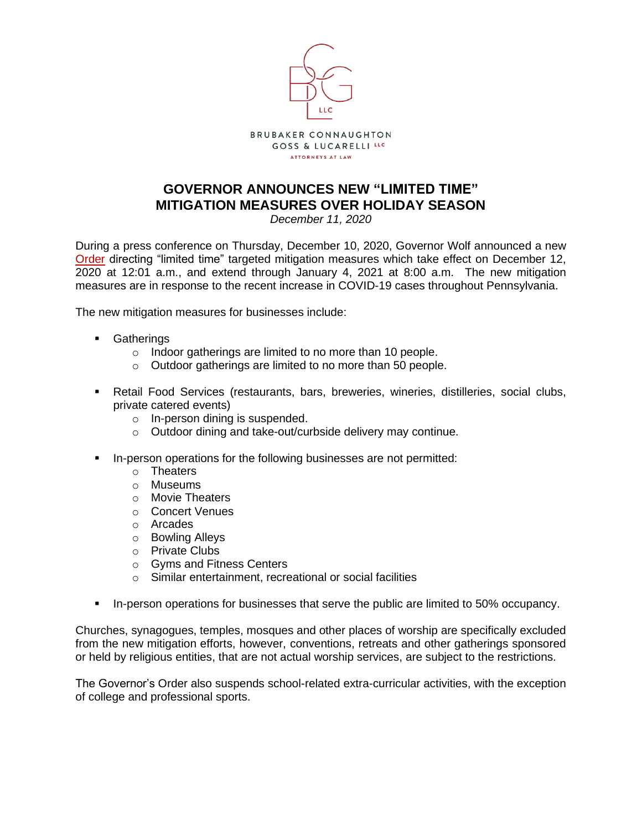

## **GOVERNOR ANNOUNCES NEW "LIMITED TIME" MITIGATION MEASURES OVER HOLIDAY SEASON**

*December 11, 2020*

During a press conference on Thursday, December 10, 2020, Governor Wolf announced a new [Order](http://bcgl-law.com/wp-content/uploads/2020/12/20201210-TWW-Limited-Time-Mitigation-Order.pdf) directing "limited time" targeted mitigation measures which take effect on December 12, 2020 at 12:01 a.m., and extend through January 4, 2021 at 8:00 a.m. The new mitigation measures are in response to the recent increase in COVID-19 cases throughout Pennsylvania.

The new mitigation measures for businesses include:

- Gatherings
	- o Indoor gatherings are limited to no more than 10 people.
	- o Outdoor gatherings are limited to no more than 50 people.
- **EXECTA Retail Food Services (restaurants, bars, breweries, wineries, distilleries, social clubs,** private catered events)
	- o In-person dining is suspended.
	- o Outdoor dining and take-out/curbside delivery may continue.
- **•** In-person operations for the following businesses are not permitted:
	- o Theaters
	- o Museums
	- o Movie Theaters
	- o Concert Venues
	- o Arcades
	- o Bowling Alleys
	- o Private Clubs
	- o Gyms and Fitness Centers
	- o Similar entertainment, recreational or social facilities
- In-person operations for businesses that serve the public are limited to 50% occupancy.

Churches, synagogues, temples, mosques and other places of worship are specifically excluded from the new mitigation efforts, however, conventions, retreats and other gatherings sponsored or held by religious entities, that are not actual worship services, are subject to the restrictions.

The Governor's Order also suspends school-related extra-curricular activities, with the exception of college and professional sports.